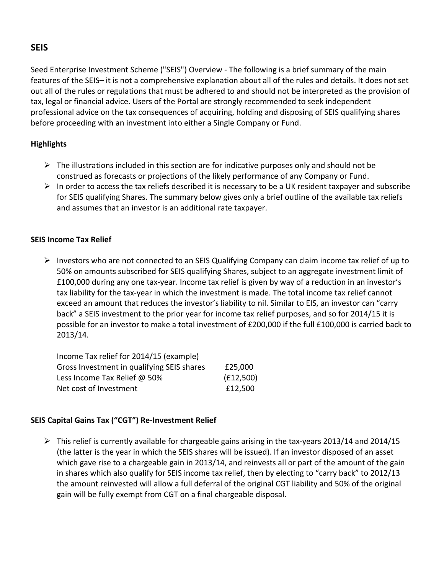# **SEIS**

Seed Enterprise Investment Scheme ("SEIS") Overview - The following is a brief summary of the main features of the SEIS– it is not a comprehensive explanation about all of the rules and details. It does not set out all of the rules or regulations that must be adhered to and should not be interpreted as the provision of tax, legal or financial advice. Users of the Portal are strongly recommended to seek independent professional advice on the tax consequences of acquiring, holding and disposing of SEIS qualifying shares before proceeding with an investment into either a Single Company or Fund.

## **Highlights**

- $\triangleright$  The illustrations included in this section are for indicative purposes only and should not be construed as forecasts or projections of the likely performance of any Company or Fund.
- $\triangleright$  In order to access the tax reliefs described it is necessary to be a UK resident taxpayer and subscribe for SEIS qualifying Shares. The summary below gives only a brief outline of the available tax reliefs and assumes that an investor is an additional rate taxpayer.

# **SEIS Income Tax Relief**

 $\triangleright$  Investors who are not connected to an SEIS Qualifying Company can claim income tax relief of up to 50% on amounts subscribed for SEIS qualifying Shares, subject to an aggregate investment limit of £100,000 during any one tax-year. Income tax relief is given by way of a reduction in an investor's tax liability for the tax-year in which the investment is made. The total income tax relief cannot exceed an amount that reduces the investor's liability to nil. Similar to EIS, an investor can "carry back" a SEIS investment to the prior year for income tax relief purposes, and so for 2014/15 it is possible for an investor to make a total investment of £200,000 if the full £100,000 is carried back to 2013/14.

| Income Tax relief for 2014/15 (example)    |           |
|--------------------------------------------|-----------|
| Gross Investment in qualifying SEIS shares | £25,000   |
| Less Income Tax Relief @ 50%               | (E12,500) |
| Net cost of Investment                     | £12,500   |

# **SEIS Capital Gains Tax ("CGT") Re-Investment Relief**

 $\triangleright$  This relief is currently available for chargeable gains arising in the tax-years 2013/14 and 2014/15 (the latter is the year in which the SEIS shares will be issued). If an investor disposed of an asset which gave rise to a chargeable gain in 2013/14, and reinvests all or part of the amount of the gain in shares which also qualify for SEIS income tax relief, then by electing to "carry back" to 2012/13 the amount reinvested will allow a full deferral of the original CGT liability and 50% of the original gain will be fully exempt from CGT on a final chargeable disposal.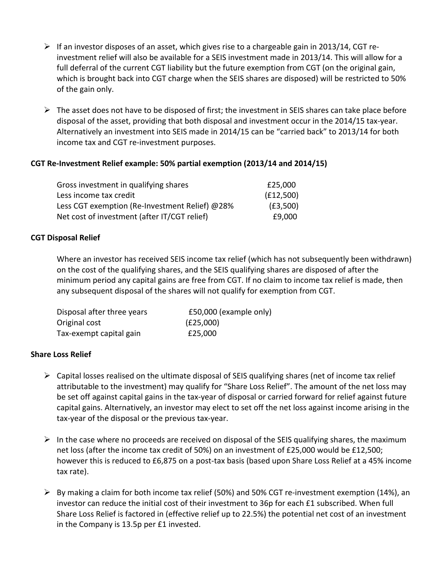- $\triangleright$  If an investor disposes of an asset, which gives rise to a chargeable gain in 2013/14, CGT reinvestment relief will also be available for a SEIS investment made in 2013/14. This will allow for a full deferral of the current CGT liability but the future exemption from CGT (on the original gain, which is brought back into CGT charge when the SEIS shares are disposed) will be restricted to 50% of the gain only.
- $\triangleright$  The asset does not have to be disposed of first; the investment in SEIS shares can take place before disposal of the asset, providing that both disposal and investment occur in the 2014/15 tax-year. Alternatively an investment into SEIS made in 2014/15 can be "carried back" to 2013/14 for both income tax and CGT re-investment purposes.

## **CGT Re-Investment Relief example: 50% partial exemption (2013/14 and 2014/15)**

| Gross investment in qualifying shares          | £25,000   |
|------------------------------------------------|-----------|
| Less income tax credit                         | (f12,500) |
| Less CGT exemption (Re-Investment Relief) @28% | (E3,500)  |
| Net cost of investment (after IT/CGT relief)   | £9,000    |

#### **CGT Disposal Relief**

Where an investor has received SEIS income tax relief (which has not subsequently been withdrawn) on the cost of the qualifying shares, and the SEIS qualifying shares are disposed of after the minimum period any capital gains are free from CGT. If no claim to income tax relief is made, then any subsequent disposal of the shares will not qualify for exemption from CGT.

| Disposal after three years | £50,000 (example only) |
|----------------------------|------------------------|
| Original cost              | (E25,000)              |
| Tax-exempt capital gain    | £25,000                |

#### **Share Loss Relief**

- $\triangleright$  Capital losses realised on the ultimate disposal of SEIS qualifying shares (net of income tax relief attributable to the investment) may qualify for "Share Loss Relief". The amount of the net loss may be set off against capital gains in the tax-year of disposal or carried forward for relief against future capital gains. Alternatively, an investor may elect to set off the net loss against income arising in the tax-year of the disposal or the previous tax-year.
- $\triangleright$  In the case where no proceeds are received on disposal of the SEIS qualifying shares, the maximum net loss (after the income tax credit of 50%) on an investment of £25,000 would be £12,500; however this is reduced to £6,875 on a post-tax basis (based upon Share Loss Relief at a 45% income tax rate).
- $\triangleright$  By making a claim for both income tax relief (50%) and 50% CGT re-investment exemption (14%), an investor can reduce the initial cost of their investment to 36p for each £1 subscribed. When full Share Loss Relief is factored in (effective relief up to 22.5%) the potential net cost of an investment in the Company is  $13.5p$  per £1 invested.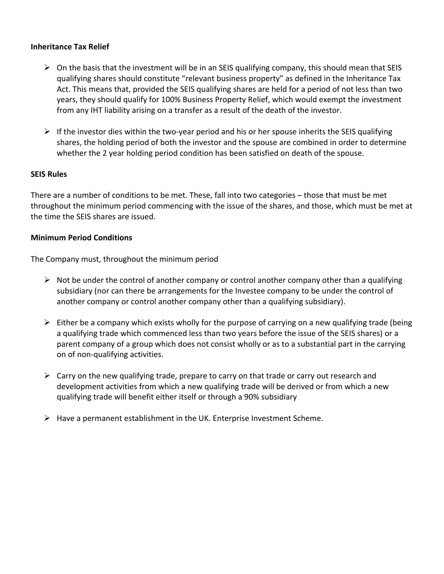#### **Inheritance Tax Relief**

- $\triangleright$  On the basis that the investment will be in an SEIS qualifying company, this should mean that SEIS qualifying shares should constitute "relevant business property" as defined in the Inheritance Tax Act. This means that, provided the SEIS qualifying shares are held for a period of not less than two years, they should qualify for 100% Business Property Relief, which would exempt the investment from any IHT liability arising on a transfer as a result of the death of the investor.
- $\triangleright$  If the investor dies within the two-year period and his or her spouse inherits the SEIS qualifying shares, the holding period of both the investor and the spouse are combined in order to determine whether the 2 year holding period condition has been satisfied on death of the spouse.

#### **SEIS Rules**

There are a number of conditions to be met. These, fall into two categories – those that must be met throughout the minimum period commencing with the issue of the shares, and those, which must be met at the time the SEIS shares are issued.

#### **Minimum Period Conditions**

The Company must, throughout the minimum period

- $\triangleright$  Not be under the control of another company or control another company other than a qualifying subsidiary (nor can there be arrangements for the Investee company to be under the control of another company or control another company other than a qualifying subsidiary).
- $\triangleright$  Either be a company which exists wholly for the purpose of carrying on a new qualifying trade (being a qualifying trade which commenced less than two years before the issue of the SEIS shares) or a parent company of a group which does not consist wholly or as to a substantial part in the carrying on of non-qualifying activities.
- $\triangleright$  Carry on the new qualifying trade, prepare to carry on that trade or carry out research and development activities from which a new qualifying trade will be derived or from which a new qualifying trade will benefit either itself or through a 90% subsidiary
- $\triangleright$  Have a permanent establishment in the UK. Enterprise Investment Scheme.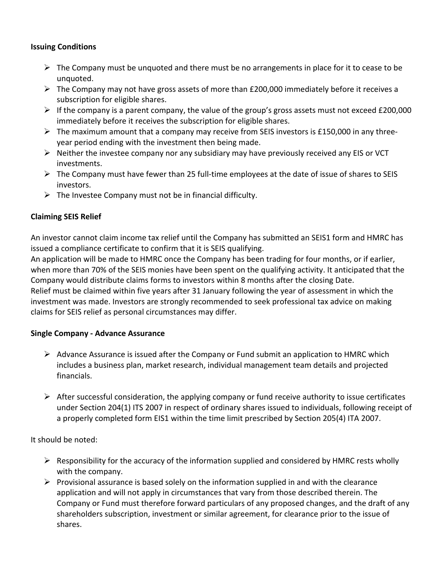### **Issuing Conditions**

- $\triangleright$  The Company must be unquoted and there must be no arrangements in place for it to cease to be unquoted.
- $\triangleright$  The Company may not have gross assets of more than £200,000 immediately before it receives a subscription for eligible shares.
- $\triangleright$  If the company is a parent company, the value of the group's gross assets must not exceed £200,000 immediately before it receives the subscription for eligible shares.
- $\triangleright$  The maximum amount that a company may receive from SEIS investors is £150,000 in any threeyear period ending with the investment then being made.
- $\triangleright$  Neither the investee company nor any subsidiary may have previously received any EIS or VCT investments.
- $\triangleright$  The Company must have fewer than 25 full-time employees at the date of issue of shares to SEIS investors.
- $\triangleright$  The Investee Company must not be in financial difficulty.

# **Claiming SEIS Relief**

An investor cannot claim income tax relief until the Company has submitted an SEIS1 form and HMRC has issued a compliance certificate to confirm that it is SEIS qualifying.

An application will be made to HMRC once the Company has been trading for four months, or if earlier, when more than 70% of the SEIS monies have been spent on the qualifying activity. It anticipated that the Company would distribute claims forms to investors within 8 months after the closing Date. Relief must be claimed within five years after 31 January following the year of assessment in which the investment was made. Investors are strongly recommended to seek professional tax advice on making claims for SEIS relief as personal circumstances may differ.

## **Single Company - Advance Assurance**

- $\triangleright$  Advance Assurance is issued after the Company or Fund submit an application to HMRC which includes a business plan, market research, individual management team details and projected financials.
- $\triangleright$  After successful consideration, the applying company or fund receive authority to issue certificates under Section 204(1) ITS 2007 in respect of ordinary shares issued to individuals, following receipt of a properly completed form EIS1 within the time limit prescribed by Section 205(4) ITA 2007.

It should be noted:

- $\triangleright$  Responsibility for the accuracy of the information supplied and considered by HMRC rests wholly with the company.
- $\triangleright$  Provisional assurance is based solely on the information supplied in and with the clearance application and will not apply in circumstances that vary from those described therein. The Company or Fund must therefore forward particulars of any proposed changes, and the draft of any shareholders subscription, investment or similar agreement, for clearance prior to the issue of shares.